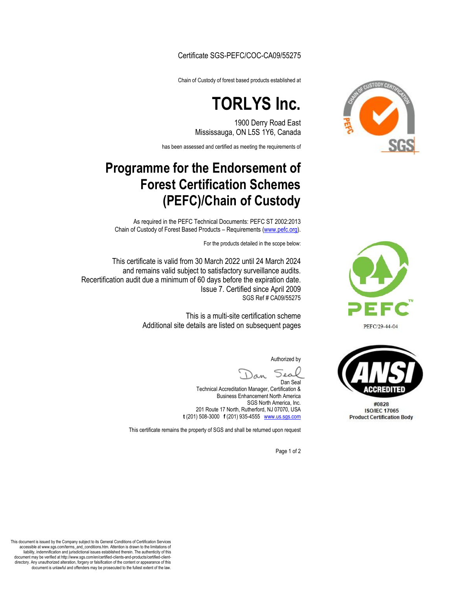Certificate SGS-PEFC/COC-CA09/55275

Chain of Custody of forest based products established at

## **TORLYS Inc.**

1900 Derry Road East Mississauga, ON L5S 1Y6, Canada

has been assessed and certified as meeting the requirements of

## **Programme for the Endorsement of Forest Certification Schemes (PEFC)/Chain of Custody**

As required in the PEFC Technical Documents: PEFC ST 2002:2013 Chain of Custody of Forest Based Products – Requirements [\(www.pefc.org\).](http://www.pefc.org/)

For the products detailed in the scope below:

This certificate is valid from 30 March 2022 until 24 March 2024 and remains valid subject to satisfactory surveillance audits. Recertification audit due a minimum of 60 days before the expiration date. Issue 7. Certified since April 2009 SGS Ref # CA09/55275

> This is a multi-site certification scheme Additional site details are listed on subsequent pages

> > Authorized by

مەد Dan Seal

Technical Accreditation Manager, Certification & Business Enhancement North America SGS North America, Inc. 201 Route 17 North, Rutherford, NJ 07070, USA **t** (201) 508-3000 **f** (201) 935-4555 www.us.sgs.com

This certificate remains the property of SGS and shall be returned upon request

Page 1 of 2







#0828 **ISO/IEC 17065 Product Certification Body** 

This document is issued by the Company subject to its General Conditions of Certification Services accessible at www.sgs.com/terms\_and\_conditions.htm. Attention is drawn to the limitations of liability, indemnification and jurisdictional issues established therein. The authenticity of this document may be verified at http://www.sgs.com/en/certified-clients-and-products/certified-clientdirectory. Any unauthorized alteration, forgery or falsification of the content or appearance of this document is unlawful and offenders may be prosecuted to the fullest extent of the law.